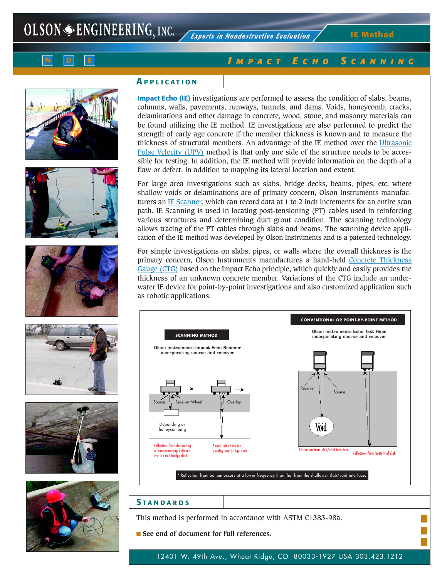**IE Method**

**N D E**

# *I MPACT E CHO S CANNING*













## **A PPLICATION**

**Impact Echo (IE)** investigations are performed to assess the condition of slabs, beams, columns, walls, pavements, runways, tunnels, and dams. Voids, honeycomb, cracks, delaminations and other damage in concrete, wood, stone, and masonry materials can be found utilizing the IE method. IE investigations are also performed to predict the strength of early age concrete if the member thickness is known and to measure the thickness of structural members. An advantage of the IE method over the Ultrasonic Pulse Velocity (UPV) method is that only one side of the structure needs to be accessible for testing. In addition, the IE method will provide information on the depth of a flaw or defect, in addition to mapping its lateral location and extent.

For large area investigations such as slabs, bridge decks, beams, pipes, etc. where shallow voids or delaminations are of primary concern, Olson Instruments manufacturers an IE Scanner, which can record data at 1 to 2 inch increments for an entire scan path. IE Scanning is used in locating post-tensioning (PT) cables used in reinforcing various structures and determining duct grout condition. The scanning technology allows tracing of the PT cables through slabs and beams. The scanning device application of the IE method was developed by Olson Instruments and is a patented technology.

For simple investigations on slabs, pipes, or walls where the overall thickness is the primary concern, Olson Instruments manufactures a hand-held Concrete Thickness Gauge (CTG) based on the Impact Echo principle, which quickly and easily provides the thickness of an unknown concrete member. Variations of the CTG include an underwater IE device for point-by-point investigations and also customized application such as robotic applications.



## **S TANDARDS**

This method is performed in accordance with ASTM C1383-98a.

■ See end of document for full references.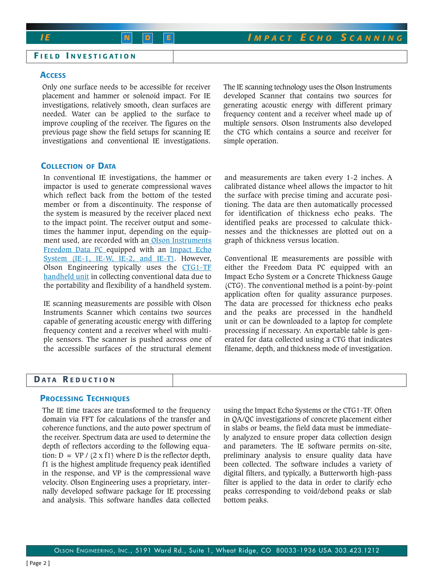### **F IELD I NVESTIGATION**

## **ACCESS**

Only one surface needs to be accessible for receiver placement and hammer or solenoid impact. For IE investigations, relatively smooth, clean surfaces are needed. Water can be applied to the surface to improve coupling of the receiver. The figures on the previous page show the field setups for scanning IE investigations and conventional IE investigations. The IE scanning technology uses the Olson Instruments developed Scanner that contains two sources for generating acoustic energy with different primary frequency content and a receiver wheel made up of multiple sensors. Olson Instruments also developed the CTG which contains a source and receiver for simple operation.

## **COLLECTION OF DATA**

In conventional IE investigations, the hammer or impactor is used to generate compressional waves which reflect back from the bottom of the tested member or from a discontinuity. The response of the system is measured by the receiver placed next to the impact point. The receiver output and sometimes the hammer input, depending on the equipment used, are recorded with an Olson Instruments Freedom Data PC equipped with an Impact Echo System (IE-1, IE-W, IE-2, and IE-T). However, Olson Engineering typically uses the CTG1-TF handheld unit in collecting conventional data due to the portability and flexibility of a handheld system.

IE scanning measurements are possible with Olson Instruments Scanner which contains two sources capable of generating acoustic energy with differing frequency content and a receiver wheel with multiple sensors. The scanner is pushed across one of the accessible surfaces of the structural element

and measurements are taken every 1-2 inches. A calibrated distance wheel allows the impactor to hit the surface with precise timing and accurate positioning. The data are then automatically processed for identification of thickness echo peaks. The identified peaks are processed to calculate thicknesses and the thicknesses are plotted out on a graph of thickness versus location.

Conventional IE measurements are possible with either the Freedom Data PC equipped with an Impact Echo System or a Concrete Thickness Gauge (CTG). The conventional method is a point-by-point application often for quality assurance purposes. The data are processed for thickness echo peaks and the peaks are processed in the handheld unit or can be downloaded to a laptop for complete processing if necessary. An exportable table is generated for data collected using a CTG that indicates filename, depth, and thickness mode of investigation.

#### **D ATA R EDUCTION**

## **PROCESSING TECHNIQUES**

The IE time traces are transformed to the frequency domain via FFT for calculations of the transfer and coherence functions, and the auto power spectrum of the receiver. Spectrum data are used to determine the depth of reflectors according to the following equation:  $D = VP / (2 \times f1)$  where D is the reflector depth, f1 is the highest amplitude frequency peak identified in the response, and VP is the compressional wave velocity. Olson Engineering uses a proprietary, internally developed software package for IE processing and analysis. This software handles data collected using the Impact Echo Systems or the CTG1-TF. Often in QA/QC investigations of concrete placement either in slabs or beams, the field data must be immediately analyzed to ensure proper data collection design and parameters. The IE software permits on-site, preliminary analysis to ensure quality data have been collected. The software includes a variety of digital filters, and typically, a Butterworth high-pass filter is applied to the data in order to clarify echo peaks corresponding to void/debond peaks or slab bottom peaks.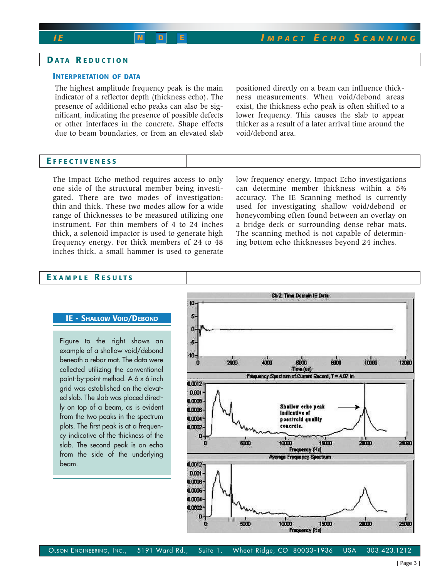*I E* **N D <sup>E</sup>** *I MPACT E CHO S CANNING*

## **D ATA R EDUCTION**

## **INTERPRETATION OF DATA**

The highest amplitude frequency peak is the main indicator of a reflector depth (thickness echo). The presence of additional echo peaks can also be significant, indicating the presence of possible defects or other interfaces in the concrete. Shape effects due to beam boundaries, or from an elevated slab

positioned directly on a beam can influence thickness measurements. When void/debond areas exist, the thickness echo peak is often shifted to a lower frequency. This causes the slab to appear thicker as a result of a later arrival time around the void/debond area.

## **E FFECTIVENESS**

The Impact Echo method requires access to only one side of the structural member being investigated. There are two modes of investigation: thin and thick. These two modes allow for a wide range of thicknesses to be measured utilizing one instrument. For thin members of 4 to 24 inches thick, a solenoid impactor is used to generate high frequency energy. For thick members of 24 to 48 inches thick, a small hammer is used to generate

low frequency energy. Impact Echo investigations can determine member thickness within a 5% accuracy. The IE Scanning method is currently used for investigating shallow void/debond or honeycombing often found between an overlay on a bridge deck or surrounding dense rebar mats. The scanning method is not capable of determining bottom echo thicknesses beyond 24 inches.

## **E XAMPLE R ESULTS**

#### **IE - SHALLOW VOID/DEBOND**

Figure to the right shows an example of a shallow void/debond beneath a rebar mat. The data were collected utilizing the conventional point-by-point method. A 6 x 6 inch grid was established on the elevated slab. The slab was placed directly on top of a beam, as is evident from the two peaks in the spectrum plots. The first peak is at a frequency indicative of the thickness of the slab. The second peak is an echo from the side of the underlying beam.

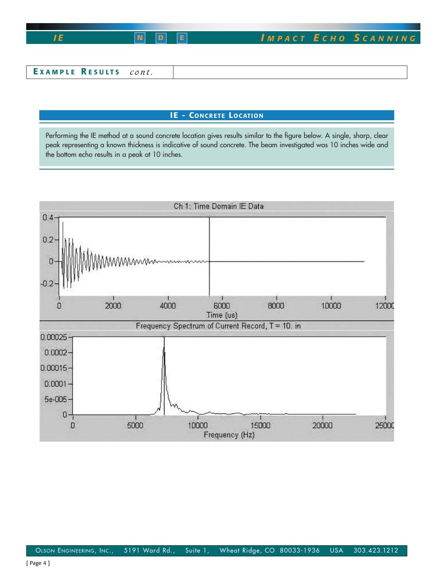*CSLI E* **N D N D <sup>E</sup> <sup>E</sup>** *I MPACT E CHO S CANNING*

| EXAMPLE RESULTS cont |  |
|----------------------|--|
|                      |  |

# **IE - CONCRETE LOCATION**

Performing the IE method at a sound concrete location gives results similar to the figure below. A single, sharp, clear peak representing a known thickness is indicative of sound concrete. The beam investigated was 10 inches wide and the bottom echo results in a peak at 10 inches.

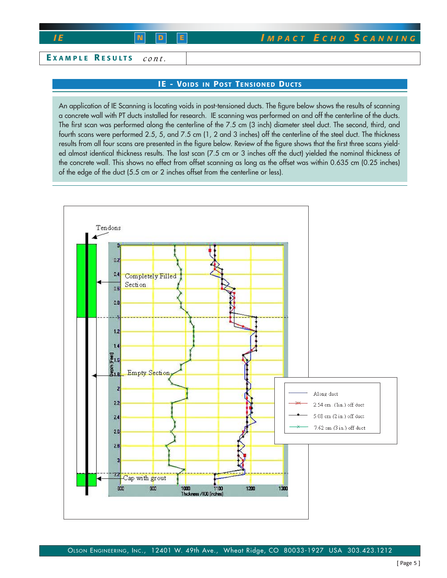*I E* **N D <sup>E</sup>** *I MPACT E CHO S CANNING*

**E XAMPLE R ESULTS** *cont.*

## **IE - VOIDS IN POST TENSIONED DUCTS**

An application of IE Scanning is locating voids in post-tensioned ducts. The figure below shows the results of scanning a concrete wall with PT ducts installed for research. IE scanning was performed on and off the centerline of the ducts. The first scan was performed along the centerline of the 7.5 cm (3 inch) diameter steel duct. The second, third, and fourth scans were performed 2.5, 5, and 7.5 cm (1, 2 and 3 inches) off the centerline of the steel duct. The thickness results from all four scans are presented in the figure below. Review of the figure shows that the first three scans yielded almost identical thickness results. The last scan (7.5 cm or 3 inches off the duct) yielded the nominal thickness of the concrete wall. This shows no effect from offset scanning as long as the offset was within 0.635 cm (0.25 inches) of the edge of the duct (5.5 cm or 2 inches offset from the centerline or less).